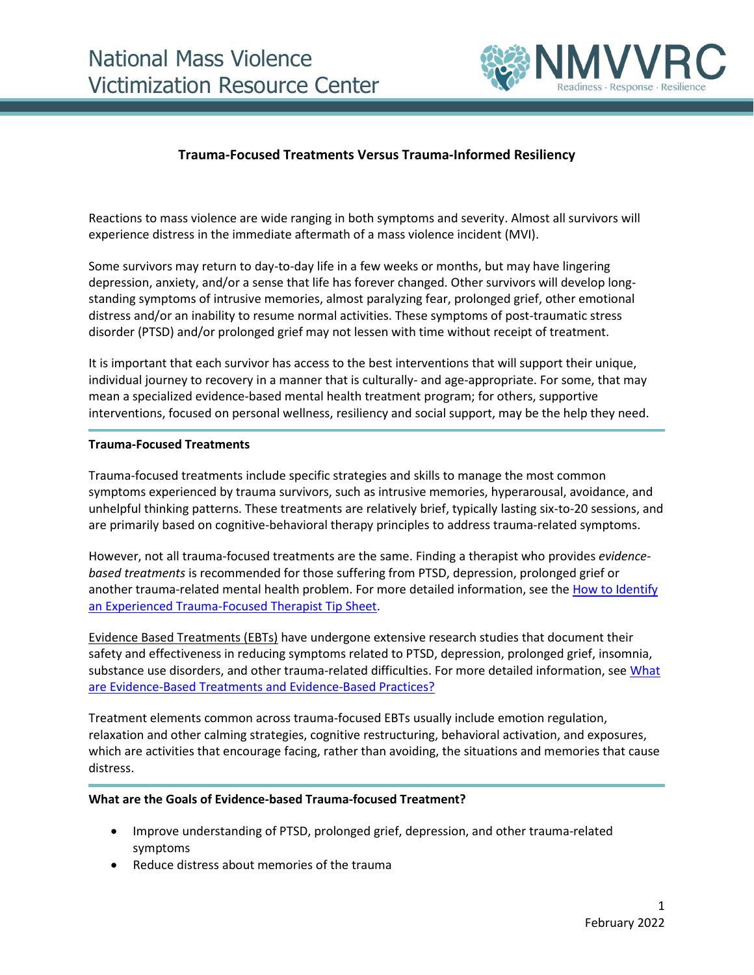

## **Trauma-Focused Treatments Versus Trauma-Informed Resiliency**

Reactions to mass violence are wide ranging in both symptoms and severity. Almost all survivors will experience distress in the immediate aftermath of a mass violence incident (MVI).

Some survivors may return to day-to-day life in a few weeks or months, but may have lingering depression, anxiety, and/or a sense that life has forever changed. Other survivors will develop longstanding symptoms of intrusive memories, almost paralyzing fear, prolonged grief, other emotional distress and/or an inability to resume normal activities. These symptoms of post-traumatic stress disorder (PTSD) and/or prolonged grief may not lessen with time without receipt of treatment.

It is important that each survivor has access to the best interventions that will support their unique, individual journey to recovery in a manner that is culturally- and age-appropriate. For some, that may mean a specialized evidence-based mental health treatment program; for others, supportive interventions, focused on personal wellness, resiliency and social support, may be the help they need.

## **Trauma-Focused Treatments**

Trauma-focused treatments include specific strategies and skills to manage the most common symptoms experienced by trauma survivors, such as intrusive memories, hyperarousal, avoidance, and unhelpful thinking patterns. These treatments are relatively brief, typically lasting six-to-20 sessions, and are primarily based on cognitive-behavioral therapy principles to address trauma-related symptoms.

However, not all trauma-focused treatments are the same. Finding a therapist who provides *evidencebased treatments* is recommended for those suffering from PTSD, depression, prolonged grief or another trauma-related mental health problem. For more detailed information, see the [How to Identify](https://www.nmvvrc.org/media/hyxl3d1h/how-to-identify-an-experienced-trauma-focused-therapist.pdf)  [an Experienced Trauma-Focused Therapist Tip Sheet.](https://www.nmvvrc.org/media/hyxl3d1h/how-to-identify-an-experienced-trauma-focused-therapist.pdf)

Evidence Based Treatments (EBTs) have undergone extensive research studies that document their safety and effectiveness in reducing symptoms related to PTSD, depression, prolonged grief, insomnia, substance use disorders, and other trauma-related difficulties. For more detailed information, see What [are Evidence-Based Treatments and Evidence-Based Practices?](https://www.nmvvrc.org/media/aopfeov4/ev-based-treaments-and-practices_07-12-19-final.pdf)

Treatment elements common across trauma-focused EBTs usually include emotion regulation, relaxation and other calming strategies, cognitive restructuring, behavioral activation, and exposures, which are activities that encourage facing, rather than avoiding, the situations and memories that cause distress.

## **What are the Goals of Evidence-based Trauma-focused Treatment?**

- Improve understanding of PTSD, prolonged grief, depression, and other trauma-related symptoms
- Reduce distress about memories of the trauma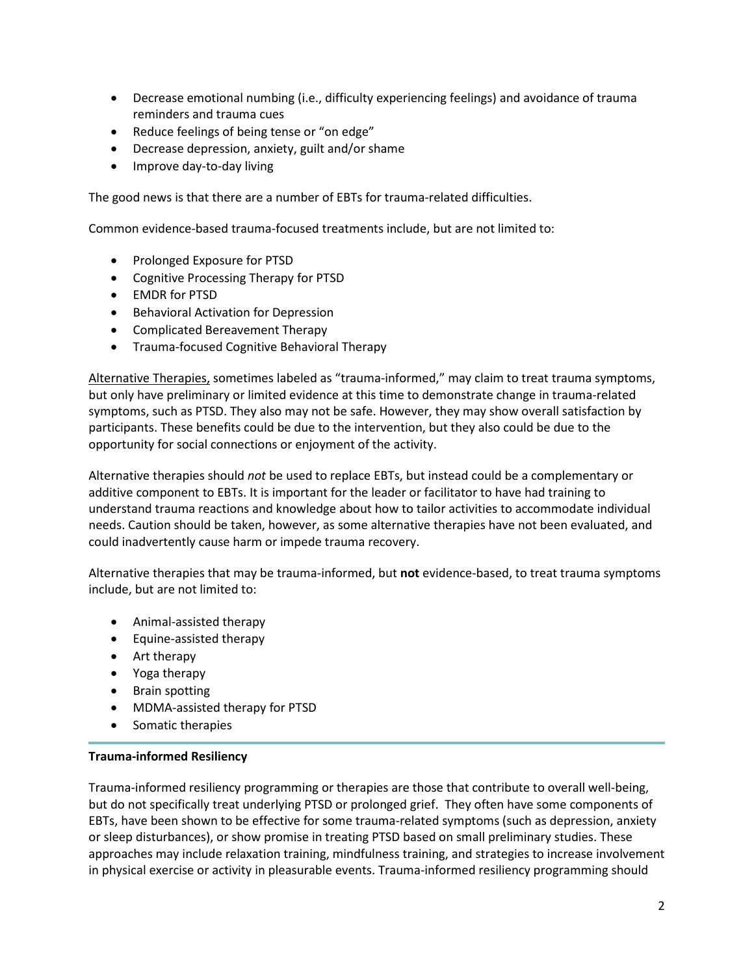- Decrease emotional numbing (i.e., difficulty experiencing feelings) and avoidance of trauma reminders and trauma cues
- Reduce feelings of being tense or "on edge"
- Decrease depression, anxiety, guilt and/or shame
- Improve day-to-day living

The good news is that there are a number of EBTs for trauma-related difficulties.

Common evidence-based trauma-focused treatments include, but are not limited to:

- Prolonged Exposure for PTSD
- Cognitive Processing Therapy for PTSD
- EMDR for PTSD
- Behavioral Activation for Depression
- Complicated Bereavement Therapy
- Trauma-focused Cognitive Behavioral Therapy

Alternative Therapies, sometimes labeled as "trauma-informed," may claim to treat trauma symptoms, but only have preliminary or limited evidence at this time to demonstrate change in trauma-related symptoms, such as PTSD. They also may not be safe. However, they may show overall satisfaction by participants. These benefits could be due to the intervention, but they also could be due to the opportunity for social connections or enjoyment of the activity.

Alternative therapies should *not* be used to replace EBTs, but instead could be a complementary or additive component to EBTs. It is important for the leader or facilitator to have had training to understand trauma reactions and knowledge about how to tailor activities to accommodate individual needs. Caution should be taken, however, as some alternative therapies have not been evaluated, and could inadvertently cause harm or impede trauma recovery.

Alternative therapies that may be trauma-informed, but **not** evidence-based, to treat trauma symptoms include, but are not limited to:

- Animal-assisted therapy
- Equine-assisted therapy
- Art therapy
- Yoga therapy
- Brain spotting
- MDMA-assisted therapy for PTSD
- Somatic therapies

## **Trauma-informed Resiliency**

Trauma-informed resiliency programming or therapies are those that contribute to overall well-being, but do not specifically treat underlying PTSD or prolonged grief. They often have some components of EBTs, have been shown to be effective for some trauma-related symptoms (such as depression, anxiety or sleep disturbances), or show promise in treating PTSD based on small preliminary studies. These approaches may include relaxation training, mindfulness training, and strategies to increase involvement in physical exercise or activity in pleasurable events. Trauma-informed resiliency programming should